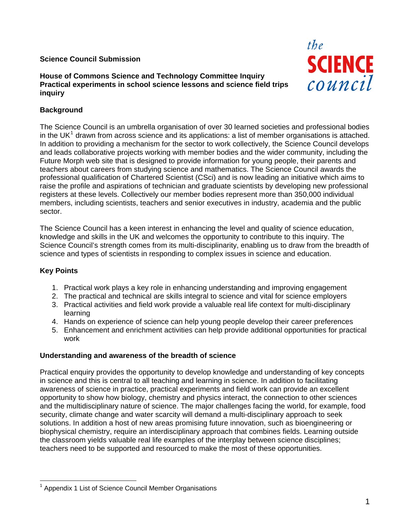# **Science Council Submission**

**House of Commons Science and Technology Committee Inquiry Practical experiments in school science lessons and science field trips inquiry** 



# **Background**

The Science Council is an umbrella organisation of over 30 learned societies and professional bodies in the UK<sup>[1](#page-0-0)</sup> drawn from across science and its applications: a list of member organisations is attached. In addition to providing a mechanism for the sector to work collectively, the Science Council develops and leads collaborative projects working with member bodies and the wider community, including the Future Morph web site that is designed to provide information for young people, their parents and teachers about careers from studying science and mathematics. The Science Council awards the professional qualification of Chartered Scientist (CSci) and is now leading an initiative which aims to raise the profile and aspirations of technician and graduate scientists by developing new professional registers at these levels. Collectively our member bodies represent more than 350,000 individual members, including scientists, teachers and senior executives in industry, academia and the public sector.

The Science Council has a keen interest in enhancing the level and quality of science education, knowledge and skills in the UK and welcomes the opportunity to contribute to this inquiry. The Science Council's strength comes from its multi-disciplinarity, enabling us to draw from the breadth of science and types of scientists in responding to complex issues in science and education.

# **Key Points**

- 1. Practical work plays a key role in enhancing understanding and improving engagement
- 2. The practical and technical are skills integral to science and vital for science employers
- 3. Practical activities and field work provide a valuable real life context for multi-disciplinary learning
- 4. Hands on experience of science can help young people develop their career preferences
- 5. Enhancement and enrichment activities can help provide additional opportunities for practical work

### **Understanding and awareness of the breadth of science**

Practical enquiry provides the opportunity to develop knowledge and understanding of key concepts in science and this is central to all teaching and learning in science. In addition to facilitating awareness of science in practice, practical experiments and field work can provide an excellent opportunity to show how biology, chemistry and physics interact, the connection to other sciences and the multidisciplinary nature of science. The major challenges facing the world, for example, food security, climate change and water scarcity will demand a multi-disciplinary approach to seek solutions. In addition a host of new areas promising future innovation, such as bioengineering or biophysical chemistry, require an interdisciplinary approach that combines fields. Learning outside the classroom yields valuable real life examples of the interplay between science disciplines; teachers need to be supported and resourced to make the most of these opportunities.

<span id="page-0-0"></span><sup>1</sup> <sup>1</sup> Appendix 1 List of Science Council Member Organisations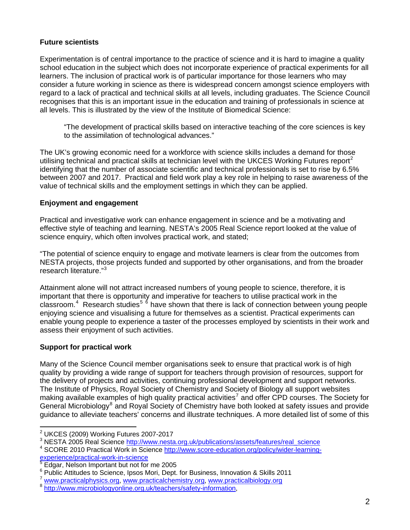# **Future scientists**

Experimentation is of central importance to the practice of science and it is hard to imagine a quality school education in the subject which does not incorporate experience of practical experiments for all learners. The inclusion of practical work is of particular importance for those learners who may consider a future working in science as there is widespread concern amongst science employers with regard to a lack of practical and technical skills at all levels, including graduates. The Science Council recognises that this is an important issue in the education and training of professionals in science at all levels. This is illustrated by the view of the Institute of Biomedical Science:

"The development of practical skills based on interactive teaching of the core sciences is key to the assimilation of technological advances."

The UK's growing economic need for a workforce with science skills includes a demand for those utilising technical and practical skills at technician level with the UKCES Working Futures report<sup>[2](#page-1-0)</sup> identifying that the number of associate scientific and technical professionals is set to rise by 6.5% between 2007 and 2017. Practical and field work play a key role in helping to raise awareness of the value of technical skills and the employment settings in which they can be applied.

# **Enjoyment and engagement**

Practical and investigative work can enhance engagement in science and be a motivating and effective style of teaching and learning. NESTA's 2005 Real Science report looked at the value of science enquiry, which often involves practical work, and stated;

"The potential of science enquiry to engage and motivate learners is clear from the outcomes from NESTA projects, those projects funded and supported by other organisations, and from the broader research literature."<sup>[3](#page-1-1)</sup>

Attainment alone will not attract increased numbers of young people to science, therefore, it is important that there is opportunity and imperative for teachers to utilise practical work in the  $classroom.<sup>4</sup>$  $classroom.<sup>4</sup>$  $classroom.<sup>4</sup>$  Research studies<sup>5  $\acute{6}$  $\acute{6}$  $\acute{6}$ </sup> have shown that there is lack of connection between young people enjoying science and visualising a future for themselves as a scientist. Practical experiments can enable young people to experience a taster of the processes employed by scientists in their work and assess their enjoyment of such activities.

# **Support for practical work**

Many of the Science Council member organisations seek to ensure that practical work is of high quality by providing a wide range of support for teachers through provision of resources, support for the delivery of projects and activities, continuing professional development and support networks. The Institute of Physics, Royal Society of Chemistry and Society of Biology all support websites making available examples of high quality practical activities<sup>[7](#page-1-5)</sup> and offer CPD courses. The Society for General Microbiology<sup>[8](#page-1-6)</sup> and Royal Society of Chemistry have both looked at safety issues and provide guidance to alleviate teachers' concerns and illustrate techniques. A more detailed list of some of this

 2 UKCES (2009) Working Futures 2007-2017

<span id="page-1-0"></span><sup>&</sup>lt;sup>3</sup> NESTA 2005 Real Science [http://www.nesta.org.uk/publications/assets/features/real\\_science](http://www.nesta.org.uk/publications/assets/features/real_science)<br><sup>4</sup> SCOPE 2010 Prestical Wark in Science http://www.coore.oducation.org/polioy/wider.lograins

<span id="page-1-2"></span><span id="page-1-1"></span>SCORE 2010 Practical Work in Science [http://www.score-education.org/policy/wider-learning](http://www.score-education.org/policy/wider-learning-experience/practical-work-in-science)[experience/practical-work-in-science](http://www.score-education.org/policy/wider-learning-experience/practical-work-in-science)<br> [5](http://www.score-education.org/policy/wider-learning-experience/practical-work-in-science) Edges N.W

<span id="page-1-3"></span>Edgar, Nelson Important but not for me 2005

<sup>6</sup>

<span id="page-1-5"></span><span id="page-1-4"></span> $\frac{6}{7}$  Public Attitudes to Science, Ipsos Mori, Dept. for Business, Innovation & Skills 2011<br>  $\frac{7}{8}$  [www.practicalphysics.org](http://www.practicalphysics.org/), [www.practicalchemistry.org,](http://www.practicalchemistry.org/) www.practicalbiology.org<br>  $\frac{8 \text{ http://www.microbiologyonline.org.uk/teaches/safety-information}}{\text{http://www.microbiologyonline$ 

<span id="page-1-6"></span>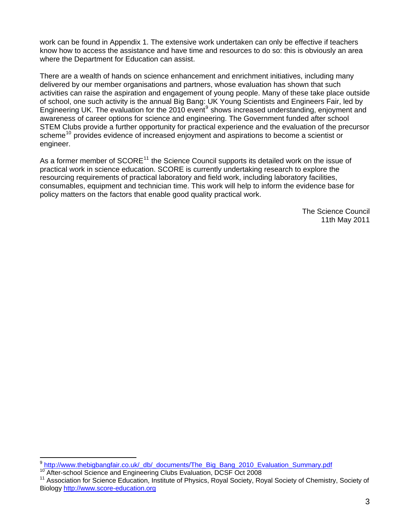work can be found in Appendix 1. The extensive work undertaken can only be effective if teachers know how to access the assistance and have time and resources to do so: this is obviously an area where the Department for Education can assist.

There are a wealth of hands on science enhancement and enrichment initiatives, including many delivered by our member organisations and partners, whose evaluation has shown that such activities can raise the aspiration and engagement of young people. Many of these take place outside of school, one such activity is the annual Big Bang: UK Young Scientists and Engineers Fair, led by Engineering UK. The evaluation for the 2010 event<sup>[9](#page-2-0)</sup> shows increased understanding, enjoyment and awareness of career options for science and engineering. The Government funded after school STEM Clubs provide a further opportunity for practical experience and the evaluation of the precursor scheme<sup>[10](#page-2-1)</sup> provides evidence of increased enjoyment and aspirations to become a scientist or engineer.

As a former member of  $SCORE<sup>11</sup>$  $SCORE<sup>11</sup>$  $SCORE<sup>11</sup>$  the Science Council supports its detailed work on the issue of practical work in science education. SCORE is currently undertaking research to explore the resourcing requirements of practical laboratory and field work, including laboratory facilities, consumables, equipment and technician time. This work will help to inform the evidence base for policy matters on the factors that enable good quality practical work.

> The Science Council 11th May 2011

1

<span id="page-2-2"></span>

<span id="page-2-1"></span><span id="page-2-0"></span><sup>&</sup>lt;sup>9</sup> [http://www.thebigbangfair.co.uk/\\_db/\\_documents/The\\_Big\\_Bang\\_2010\\_Evaluation\\_Summary.pdf](http://www.thebigbangfair.co.uk/_db/_documents/The_Big_Bang_2010_Evaluation_Summary.pdf)<br><sup>10</sup> After-school Science and Engineering Clubs Evaluation, DCSF Oct 2008<br><sup>11</sup> Association for Science Education, Institute of Phy Biology [http://www.score-education.org](http://www.score-education.org/)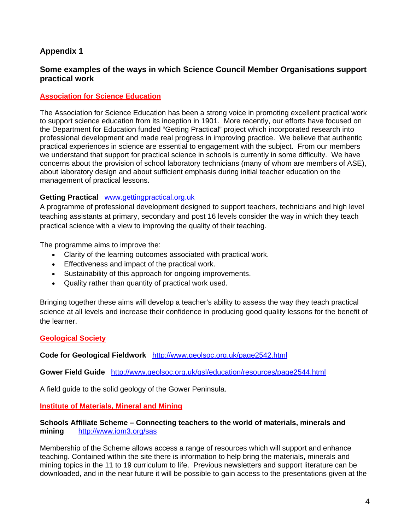# **Appendix 1**

# **Some examples of the ways in which Science Council Member Organisations support practical work**

## **Association for Science Education**

The Association for Science Education has been a strong voice in promoting excellent practical work to support science education from its inception in 1901. More recently, our efforts have focused on the Department for Education funded "Getting Practical" project which incorporated research into professional development and made real progress in improving practice. We believe that authentic practical experiences in science are essential to engagement with the subject. From our members we understand that support for practical science in schools is currently in some difficulty. We have concerns about the provision of school laboratory technicians (many of whom are members of ASE), about laboratory design and about sufficient emphasis during initial teacher education on the management of practical lessons.

### **Getting Practical** [www.gettingpractical.org.uk](http://www.gettingpractical.org.uk/)

A programme of professional development designed to support teachers, technicians and high level teaching assistants at primary, secondary and post 16 levels consider the way in which they teach practical science with a view to improving the quality of their teaching.

The programme aims to improve the:

- Clarity of the learning outcomes associated with practical work.
- Effectiveness and impact of the practical work.
- Sustainability of this approach for ongoing improvements.
- Quality rather than quantity of practical work used.

Bringing together these aims will develop a teacher's ability to assess the way they teach practical science at all levels and increase their confidence in producing good quality lessons for the benefit of the learner.

### **Geological Society**

**Code for Geological Fieldwork** <http://www.geolsoc.org.uk/page2542.html>

**Gower Field Guide** <http://www.geolsoc.org.uk/gsl/education/resources/page2544.html>

A field guide to the solid geology of the Gower Peninsula.

### **Institute of Materials, Mineral and Mining**

#### **Schools Affiliate Scheme – Connecting teachers to the world of materials, minerals and mining** <http://www.iom3.org/sas>

Membership of the Scheme allows access a range of resources which will support and enhance teaching. Contained within the site there is information to help bring the materials, minerals and mining topics in the 11 to 19 curriculum to life. Previous newsletters and support literature can be downloaded, and in the near future it will be possible to gain access to the presentations given at the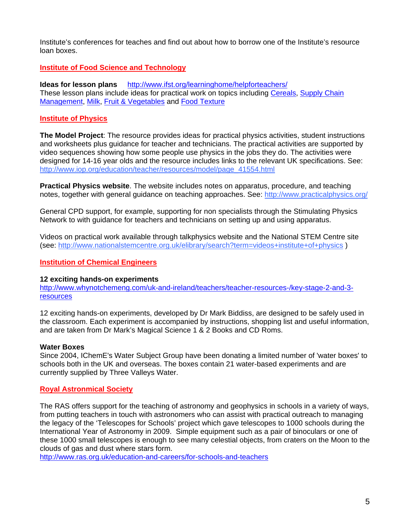Institute's conferences for teaches and find out about how to borrow one of the Institute's resource loan boxes.

### **Institute of Food Science and Technology**

**Ideas for lesson plans** <http://www.ifst.org/learninghome/helpforteachers/> These lesson plans include ideas for practical work on topics including [Cereals](http://www.ifst.org/learninghome/helpforteachers/lessonplantopics/cereals/), [Supply Chain](http://www.ifst.org/learninghome/helpforteachers/lessonplantopics/supplychainmanagement/)  [Management,](http://www.ifst.org/learninghome/helpforteachers/lessonplantopics/supplychainmanagement/) [Milk](http://www.ifst.org/learninghome/helpforteachers/lessonplantopics/milkanddairyproducts/), [Fruit & Vegetables](http://www.ifst.org/learninghome/helpforteachers/lessonplantopics/fruitsandvegetables/) and [Food Texture](http://www.ifst.org/learninghome/helpforteachers/lessonplantopics/foodtexture/)

# **Institute of Physics**

**The Model Project**: The resource provides ideas for practical physics activities, student instructions and worksheets plus guidance for teacher and technicians. The practical activities are supported by video sequences showing how some people use physics in the jobs they do. The activities were designed for 14-16 year olds and the resource includes links to the relevant UK specifications. See: [http://www.iop.org/education/teacher/resources/model/page\\_41554.html](http://www.iop.org/education/teacher/resources/model/page_41554.html)

**Practical Physics website**. The website includes notes on apparatus, procedure, and teaching notes, together with general guidance on teaching approaches. See:<http://www.practicalphysics.org/>

General CPD support, for example, supporting for non specialists through the Stimulating Physics Network to with guidance for teachers and technicians on setting up and using apparatus.

Videos on practical work available through talkphysics website and the National STEM Centre site (see:<http://www.nationalstemcentre.org.uk/elibrary/search?term=videos+institute+of+physics> )

## **Institution of Chemical Engineers**

#### **12 exciting hands-on experiments**

[http://www.whynotchemeng.com/uk-and-ireland/teachers/teacher-resources-/key-stage-2-and-3](http://www.whynotchemeng.com/uk-and-ireland/teachers/teacher-resources-/key-stage-2-and-3-resources) [resources](http://www.whynotchemeng.com/uk-and-ireland/teachers/teacher-resources-/key-stage-2-and-3-resources)

12 exciting hands-on experiments, developed by Dr Mark Biddiss, are designed to be safely used in the classroom. Each experiment is accompanied by instructions, shopping list and useful information, and are taken from Dr Mark's Magical Science 1 & 2 Books and CD Roms.

### **Water Boxes**

Since 2004, IChemE's Water Subject Group have been donating a limited number of 'water boxes' to schools both in the UK and overseas. The boxes contain 21 water-based experiments and are currently supplied by Three Valleys Water.

### **Royal Astronmical Society**

The RAS offers support for the teaching of astronomy and geophysics in schools in a variety of ways, from putting teachers in touch with astronomers who can assist with practical outreach to managing the legacy of the 'Telescopes for Schools' project which gave telescopes to 1000 schools during the International Year of Astronomy in 2009. Simple equipment such as a pair of binoculars or one of these 1000 small telescopes is enough to see many celestial objects, from craters on the Moon to the clouds of gas and dust where stars form.

<http://www.ras.org.uk/education-and-careers/for-schools-and-teachers>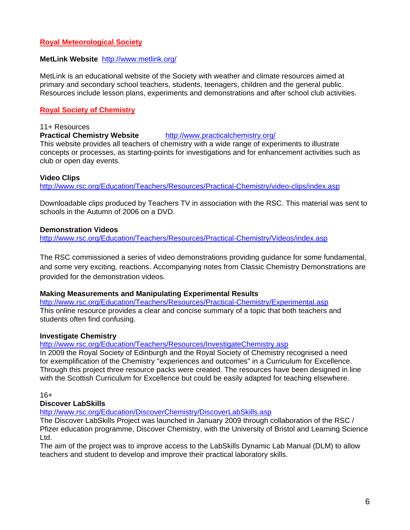# **Royal Meteorological Society**

### **MetLink Website** <http://www.metlink.org/>

MetLink is an educational website of the Society with weather and climate resources aimed at primary and secondary school teachers, students, teenagers, children and the general public. Resources include lesson plans, experiments and demonstrations and after school club activities.

# **Royal Society of Chemistry**

#### 11+ Resources

### **Practical Chemistry Website** <http://www.practicalchemistry.org/>

This website provides all teachers of chemistry with a wide range of experiments to illustrate concepts or processes, as starting-points for investigations and for enhancement activities such as club or open day events.

### **Video Clips**

<http://www.rsc.org/Education/Teachers/Resources/Practical-Chemistry/video-clips/index.asp>

Downloadable clips produced by Teachers TV in association with the RSC. This material was sent to schools in the Autumn of 2006 on a DVD.

### **Demonstration Videos**

<http://www.rsc.org/Education/Teachers/Resources/Practical-Chemistry/Videos/index.asp>

The RSC commissioned a series of video demonstrations providing guidance for some fundamental, and some very exciting, reactions. Accompanying notes from Classic Chemistry Demonstrations are provided for the demonstration videos.

### **Making Measurements and Manipulating Experimental Results**

<http://www.rsc.org/Education/Teachers/Resources/Practical-Chemistry/Experimental.asp> This online resource provides a clear and concise summary of a topic that both teachers and students often find confusing.

### **Investigate Chemistry**

#### <http://www.rsc.org/Education/Teachers/Resources/InvestigateChemistry.asp>

In 2009 the Royal Society of Edinburgh and the Royal Society of Chemistry recognised a need for exemplification of the Chemistry "experiences and outcomes" in a Curriculum for Excellence. Through this project three resource packs were created. The resources have been designed in line with the Scottish Curriculum for Excellence but could be easily adapted for teaching elsewhere.

16+

### **Discover LabSkills**

<http://www.rsc.org/Education/DiscoverChemistry/DiscoverLabSkills.asp>

The Discover LabSkills Project was launched in January 2009 through collaboration of the RSC / Pfizer education programme, Discover Chemistry, with the University of Bristol and Learning Science Ltd.

The aim of the project was to improve access to the LabSkills Dynamic Lab Manual (DLM) to allow teachers and student to develop and improve their practical laboratory skills.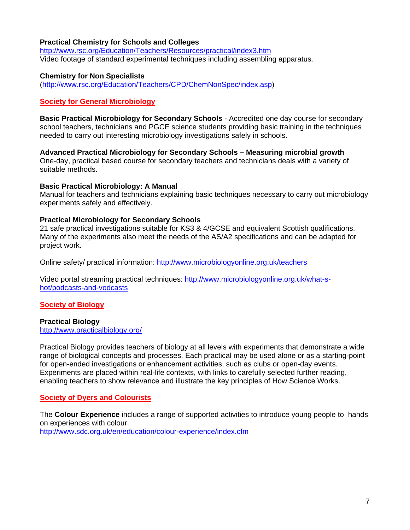### **[Practical Chemistry for](http://www.rsc.org/Education/learnnetredirects/Practical.asp) Schools and Colleges**

<http://www.rsc.org/Education/Teachers/Resources/practical/index3.htm> Video footage of standard experimental techniques including assembling apparatus.

#### **Chemistry for Non Specialists**

[\(http://www.rsc.org/Education/Teachers/CPD/ChemNonSpec/index.asp](http://www.rsc.org/Education/Teachers/CPD/ChemNonSpec/index.asp))

### **Society for General Microbiology**

**Basic Practical Microbiology for Secondary Schools** - Accredited one day course for secondary school teachers, technicians and PGCE science students providing basic training in the techniques needed to carry out interesting microbiology investigations safely in schools.

**Advanced Practical Microbiology for Secondary Schools – Measuring microbial growth**  One-day, practical based course for secondary teachers and technicians deals with a variety of suitable methods.

#### **Basic Practical Microbiology: A Manual**

Manual for teachers and technicians explaining basic techniques necessary to carry out microbiology experiments safely and effectively.

### **Practical Microbiology for Secondary Schools**

21 safe practical investigations suitable for KS3 & 4/GCSE and equivalent Scottish qualifications. Many of the experiments also meet the needs of the AS/A2 specifications and can be adapted for project work.

Online safety/ practical information:<http://www.microbiologyonline.org.uk/teachers>

Video portal streaming practical techniques: [http://www.microbiologyonline.org.uk/what-s](http://www.microbiologyonline.org.uk/what-s-hot/podcasts-and-vodcasts)[hot/podcasts-and-vodcasts](http://www.microbiologyonline.org.uk/what-s-hot/podcasts-and-vodcasts)

### **Society of Biology**

### **Practical Biology**

<http://www.practicalbiology.org/>

Practical Biology provides teachers of biology at all levels with experiments that demonstrate a wide range of biological concepts and processes. Each practical may be used alone or as a starting-point for open-ended investigations or enhancement activities, such as clubs or open-day events. Experiments are placed within real-life contexts, with links to carefully selected further reading, enabling teachers to show relevance and illustrate the key principles of How Science Works.

### **Society of Dyers and Colourists**

The **Colour Experience** includes a range of supported activities to introduce young people to hands on experiences with colour. <http://www.sdc.org.uk/en/education/colour-experience/index.cfm>